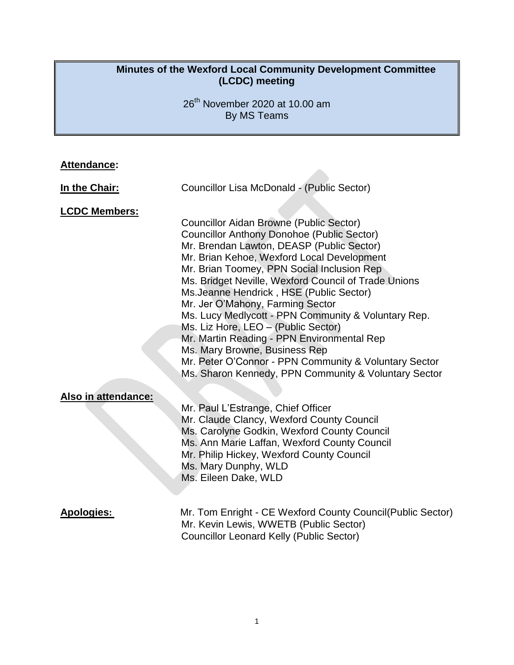#### **Minutes of the Wexford Local Community Development Committee (LCDC) meeting**

26<sup>th</sup> November 2020 at 10.00 am By MS Teams

## **Attendance:**

| In the Chair:        | Councillor Lisa McDonald - (Public Sector)                                                                                                                                                                                                                                                                                                                                                                                                                                                                                                                                                                                                                                         |  |  |  |
|----------------------|------------------------------------------------------------------------------------------------------------------------------------------------------------------------------------------------------------------------------------------------------------------------------------------------------------------------------------------------------------------------------------------------------------------------------------------------------------------------------------------------------------------------------------------------------------------------------------------------------------------------------------------------------------------------------------|--|--|--|
| <b>LCDC Members:</b> | <b>Councillor Aidan Browne (Public Sector)</b><br><b>Councillor Anthony Donohoe (Public Sector)</b><br>Mr. Brendan Lawton, DEASP (Public Sector)<br>Mr. Brian Kehoe, Wexford Local Development<br>Mr. Brian Toomey, PPN Social Inclusion Rep<br>Ms. Bridget Neville, Wexford Council of Trade Unions<br>Ms. Jeanne Hendrick, HSE (Public Sector)<br>Mr. Jer O'Mahony, Farming Sector<br>Ms. Lucy Medlycott - PPN Community & Voluntary Rep.<br>Ms. Liz Hore, LEO - (Public Sector)<br>Mr. Martin Reading - PPN Environmental Rep<br>Ms. Mary Browne, Business Rep<br>Mr. Peter O'Connor - PPN Community & Voluntary Sector<br>Ms. Sharon Kennedy, PPN Community & Voluntary Sector |  |  |  |
| Also in attendance:  | Mr. Paul L'Estrange, Chief Officer<br>Mr. Claude Clancy, Wexford County Council<br>Ms. Carolyne Godkin, Wexford County Council<br>Ms. Ann Marie Laffan, Wexford County Council<br>Mr. Philip Hickey, Wexford County Council<br>Ms. Mary Dunphy, WLD<br>Ms. Eileen Dake, WLD                                                                                                                                                                                                                                                                                                                                                                                                        |  |  |  |
| <b>Apologies:</b>    | Mr. Tom Enright - CE Wexford County Council(Public Sector)<br>Mr. Kevin Lewis, WWETB (Public Sector)                                                                                                                                                                                                                                                                                                                                                                                                                                                                                                                                                                               |  |  |  |

Councillor Leonard Kelly (Public Sector)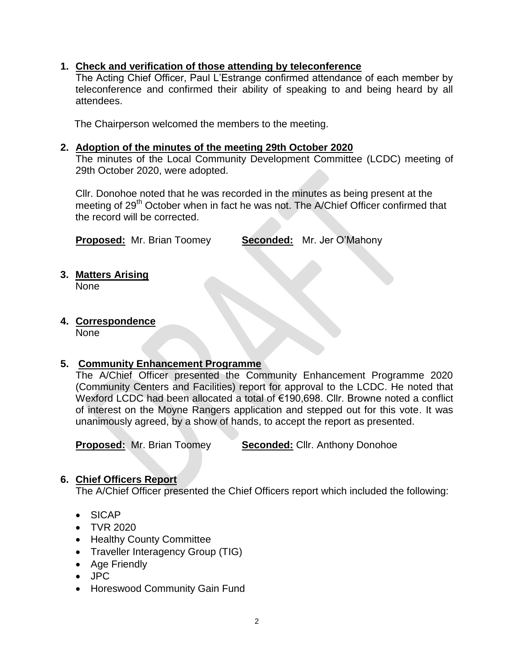#### **1. Check and verification of those attending by teleconference**

The Acting Chief Officer, Paul L'Estrange confirmed attendance of each member by teleconference and confirmed their ability of speaking to and being heard by all attendees.

The Chairperson welcomed the members to the meeting.

#### **2. Adoption of the minutes of the meeting 29th October 2020**

The minutes of the Local Community Development Committee (LCDC) meeting of 29th October 2020, were adopted.

Cllr. Donohoe noted that he was recorded in the minutes as being present at the meeting of 29<sup>th</sup> October when in fact he was not. The A/Chief Officer confirmed that the record will be corrected.

**Proposed:** Mr. Brian Toomey **Seconded:** Mr. Jer O'Mahony

# **3. Matters Arising**

None

**4. Correspondence**

None

## **5. Community Enhancement Programme**

The A/Chief Officer presented the Community Enhancement Programme 2020 (Community Centers and Facilities) report for approval to the LCDC. He noted that Wexford LCDC had been allocated a total of €190,698. Cllr. Browne noted a conflict of interest on the Moyne Rangers application and stepped out for this vote. It was unanimously agreed, by a show of hands, to accept the report as presented.

**Proposed:** Mr. Brian Toomey **Seconded:** Cllr. Anthony Donohoe

#### **6. Chief Officers Report**

The A/Chief Officer presented the Chief Officers report which included the following:

- SICAP
- TVR 2020
- Healthy County Committee
- Traveller Interagency Group (TIG)
- Age Friendly
- JPC
- Horeswood Community Gain Fund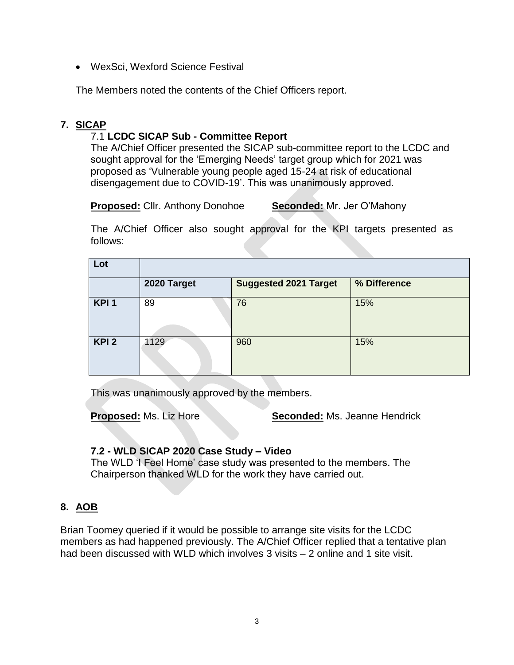WexSci, Wexford Science Festival

The Members noted the contents of the Chief Officers report.

## **7. SICAP**

## 7.1 **LCDC SICAP Sub - Committee Report**

The A/Chief Officer presented the SICAP sub-committee report to the LCDC and sought approval for the 'Emerging Needs' target group which for 2021 was proposed as 'Vulnerable young people aged 15-24 at risk of educational disengagement due to COVID-19'. This was unanimously approved.

**Proposed:** Cllr. Anthony Donohoe **Seconded:** Mr. Jer O'Mahony

The A/Chief Officer also sought approval for the KPI targets presented as follows:

| Lot              |             |                              |              |
|------------------|-------------|------------------------------|--------------|
|                  | 2020 Target | <b>Suggested 2021 Target</b> | % Difference |
| KPI <sub>1</sub> | 89          | 76                           | 15%          |
| KPI <sub>2</sub> | 1129        | 960                          | 15%          |

This was unanimously approved by the members.

**Proposed:** Ms. Liz Hore **Seconded:** Ms. Jeanne Hendrick

#### **7.2 - WLD SICAP 2020 Case Study – Video**

The WLD 'I Feel Home' case study was presented to the members. The Chairperson thanked WLD for the work they have carried out.

#### **8. AOB**

Brian Toomey queried if it would be possible to arrange site visits for the LCDC members as had happened previously. The A/Chief Officer replied that a tentative plan had been discussed with WLD which involves 3 visits – 2 online and 1 site visit.